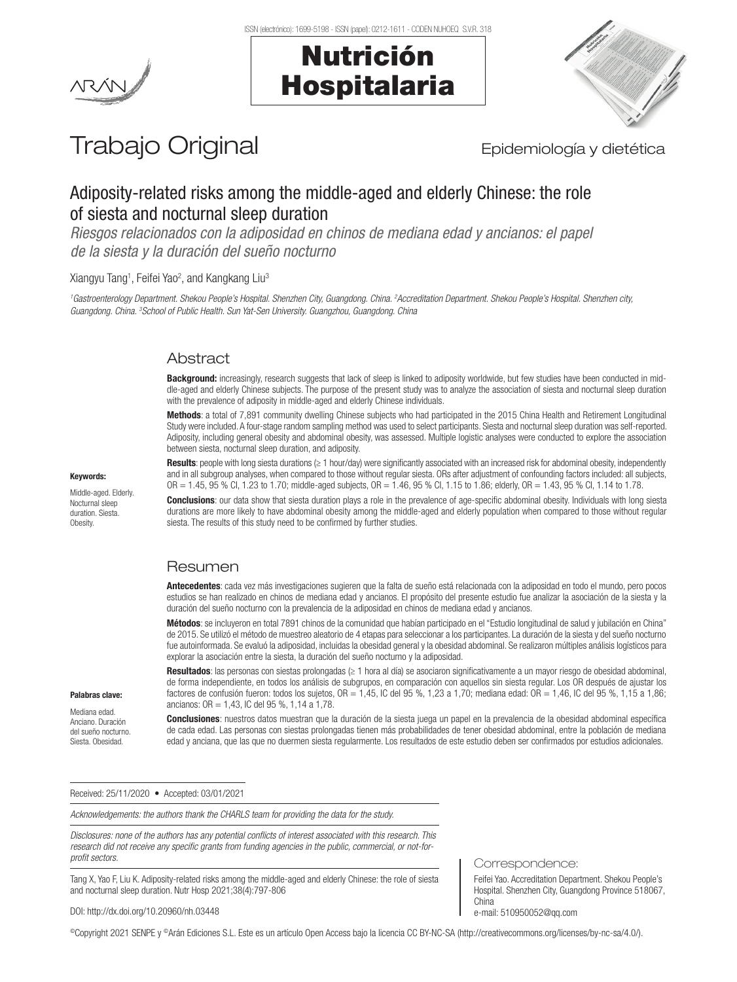Nutrición

Hospitalaria





# Trabajo Original **Epidemiología y dietética**

# Adiposity-related risks among the middle-aged and elderly Chinese: the role of siesta and nocturnal sleep duration

*Riesgos relacionados con la adiposidad en chinos de mediana edad y ancianos: el papel de la siesta y la duración del sueño nocturno*

Xiangyu Tang<sup>1</sup>, Feifei Yao<sup>2</sup>, and Kangkang Liu<sup>3</sup>

<sup>1</sup>Gastroenterology Department. Shekou People's Hospital. Shenzhen City, Guangdong. China. <sup>2</sup>Accreditation Department. Shekou People's Hospital. Shenzhen city, *Guangdong. China. 3 School of Public Health. Sun Yat-Sen University. Guangzhou, Guangdong. China*

# Abstract

**Background:** increasingly, research suggests that lack of sleep is linked to adiposity worldwide, but few studies have been conducted in middle-aged and elderly Chinese subjects. The purpose of the present study was to analyze the association of siesta and nocturnal sleep duration with the prevalence of adiposity in middle-aged and elderly Chinese individuals.

Methods: a total of 7.891 community dwelling Chinese subjects who had participated in the 2015 China Health and Retirement Longitudinal Study were included. A four-stage random sampling method was used to select participants. Siesta and nocturnal sleep duration was self-reported. Adiposity, including general obesity and abdominal obesity, was assessed. Multiple logistic analyses were conducted to explore the association between siesta, nocturnal sleep duration, and adiposity.

Results: people with long siesta durations (≥ 1 hour/day) were significantly associated with an increased risk for abdominal obesity, independently and in all subgroup analyses, when compared to those without regular siesta. ORs after adjustment of confounding factors included: all subjects, OR = 1.45, 95 % CI, 1.23 to 1.70; middle-aged subjects, OR = 1.46, 95 % CI, 1.15 to 1.86; elderly, OR = 1.43, 95 % CI, 1.14 to 1.78.

**Conclusions**: our data show that siesta duration plays a role in the prevalence of age-specific abdominal obesity. Individuals with long siesta durations are more likely to have abdominal obesity among the middle-aged and elderly population when compared to those without regular siesta. The results of this study need to be confirmed by further studies.

# Resumen

Antecedentes: cada vez más investigaciones sugieren que la falta de sueño está relacionada con la adiposidad en todo el mundo, pero pocos estudios se han realizado en chinos de mediana edad y ancianos. El propósito del presente estudio fue analizar la asociación de la siesta y la duración del sueño nocturno con la prevalencia de la adiposidad en chinos de mediana edad y ancianos.

Métodos: se incluyeron en total 7891 chinos de la comunidad que habían participado en el "Estudio longitudinal de salud y jubilación en China" de 2015. Se utilizó el método de muestreo aleatorio de 4 etapas para seleccionar a los participantes. La duración de la siesta y del sueño nocturno fue autoinformada. Se evaluó la adiposidad, incluidas la obesidad general y la obesidad abdominal. Se realizaron múltiples análisis logísticos para explorar la asociación entre la siesta, la duración del sueño nocturno y la adiposidad.

Resultados: las personas con siestas prolongadas (≥ 1 hora al día) se asociaron significativamente a un mayor riesgo de obesidad abdominal, de forma independiente, en todos los análisis de subgrupos, en comparación con aquellos sin siesta regular. Los OR después de ajustar los factores de confusión fueron: todos los sujetos,  $OR = 1,45$ , IC del 95 %, 1,23 a 1,70; mediana edad:  $OR = 1,46$ , IC del 95 %, 1,15 a 1,86; ancianos: OR = 1,43, IC del 95 %, 1,14 a 1,78.

Conclusiones: nuestros datos muestran que la duración de la siesta juega un papel en la prevalencia de la obesidad abdominal específica de cada edad. Las personas con siestas prolongadas tienen más probabilidades de tener obesidad abdominal, entre la población de mediana edad y anciana, que las que no duermen siesta regularmente. Los resultados de este estudio deben ser confirmados por estudios adicionales.

Received: 25/11/2020 • Accepted: 03/01/2021

*Acknowledgements: the authors thank the CHARLS team for providing the data for the study.*

*Disclosures: none of the authors has any potential conflicts of interest associated with this research. This research did not receive any specific grants from funding agencies in the public, commercial, or not-forprofit sectors.*

Tang X, Yao F, Liu K. Adiposity-related risks among the middle-aged and elderly Chinese: the role of siesta and nocturnal sleep duration. Nutr Hosp 2021;38(4):797-806

Correspondence:

Feifei Yao. Accreditation Department. Shekou People's Hospital. Shenzhen City, Guangdong Province 518067, China e-mail: 510950052@qq.com

DOI: http://dx.doi.org/10.20960/nh.03448

©Copyright 2021 SENPE y ©Arán Ediciones S.L. Este es un artículo Open Access bajo la licencia CC BY-NC-SA (http://creativecommons.org/licenses/by-nc-sa/4.0/).

#### Keywords:

Middle-aged. Elderly. Nocturnal sleep duration. Siesta. Obesity.

Palabras clave: Mediana edad. Anciano. Duración del sueño nocturno. Siesta. Obesidad.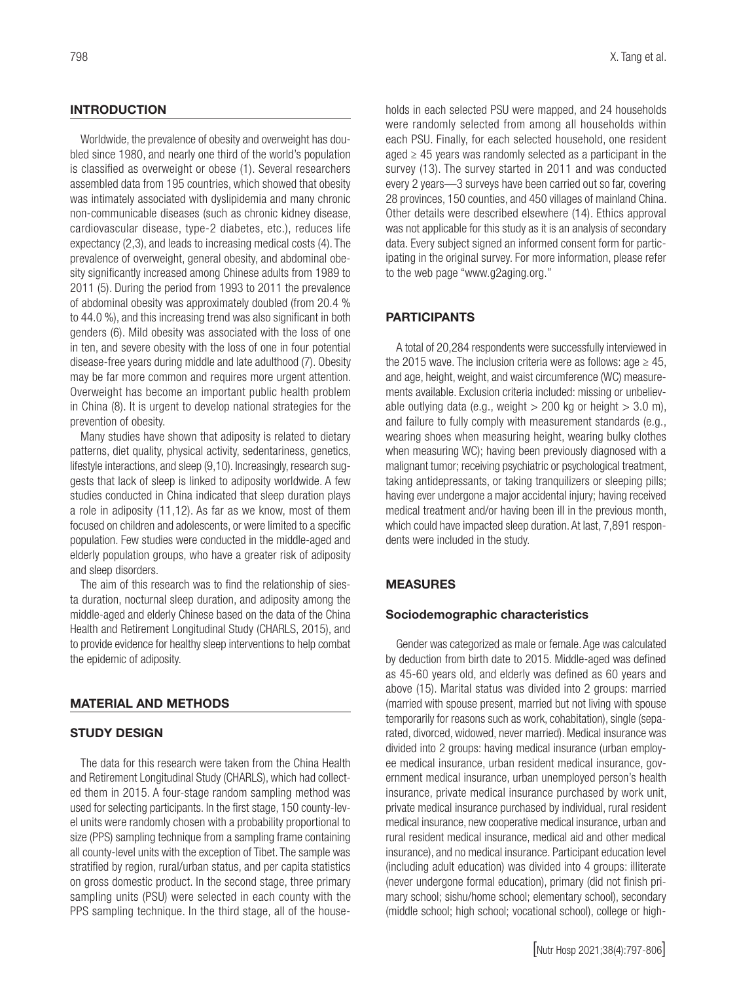# **INTRODUCTION**

Worldwide, the prevalence of obesity and overweight has doubled since 1980, and nearly one third of the world's population is classified as overweight or obese (1). Several researchers assembled data from 195 countries, which showed that obesity was intimately associated with dyslipidemia and many chronic non-communicable diseases (such as chronic kidney disease, cardiovascular disease, type-2 diabetes, etc.), reduces life expectancy (2,3), and leads to increasing medical costs (4). The prevalence of overweight, general obesity, and abdominal obesity significantly increased among Chinese adults from 1989 to 2011 (5). During the period from 1993 to 2011 the prevalence of abdominal obesity was approximately doubled (from 20.4 % to 44.0 %), and this increasing trend was also significant in both genders (6). Mild obesity was associated with the loss of one in ten, and severe obesity with the loss of one in four potential disease-free years during middle and late adulthood (7). Obesity may be far more common and requires more urgent attention. Overweight has become an important public health problem in China (8). It is urgent to develop national strategies for the prevention of obesity.

Many studies have shown that adiposity is related to dietary patterns, diet quality, physical activity, sedentariness, genetics, lifestyle interactions, and sleep (9,10). Increasingly, research suggests that lack of sleep is linked to adiposity worldwide. A few studies conducted in China indicated that sleep duration plays a role in adiposity (11,12). As far as we know, most of them focused on children and adolescents, or were limited to a specific population. Few studies were conducted in the middle-aged and elderly population groups, who have a greater risk of adiposity and sleep disorders.

The aim of this research was to find the relationship of siesta duration, nocturnal sleep duration, and adiposity among the middle-aged and elderly Chinese based on the data of the China Health and Retirement Longitudinal Study (CHARLS, 2015), and to provide evidence for healthy sleep interventions to help combat the epidemic of adiposity.

#### MATERIAL AND METHODS

#### STUDY DESIGN

The data for this research were taken from the China Health and Retirement Longitudinal Study (CHARLS), which had collected them in 2015. A four-stage random sampling method was used for selecting participants. In the first stage, 150 county-level units were randomly chosen with a probability proportional to size (PPS) sampling technique from a sampling frame containing all county-level units with the exception of Tibet. The sample was stratified by region, rural/urban status, and per capita statistics on gross domestic product. In the second stage, three primary sampling units (PSU) were selected in each county with the PPS sampling technique. In the third stage, all of the households in each selected PSU were mapped, and 24 households were randomly selected from among all households within each PSU. Finally, for each selected household, one resident aged  $\geq$  45 years was randomly selected as a participant in the survey (13). The survey started in 2011 and was conducted every 2 years—3 surveys have been carried out so far, covering 28 provinces, 150 counties, and 450 villages of mainland China. Other details were described elsewhere (14). Ethics approval was not applicable for this study as it is an analysis of secondary data. Every subject signed an informed consent form for participating in the original survey. For more information, please refer to the web page "www.g2aging.org."

#### PARTICIPANTS

A total of 20,284 respondents were successfully interviewed in the 2015 wave. The inclusion criteria were as follows: age  $\geq 45$ , and age, height, weight, and waist circumference (WC) measurements available. Exclusion criteria included: missing or unbelievable outlying data (e.g., weight  $> 200$  kg or height  $> 3.0$  m), and failure to fully comply with measurement standards (e.g., wearing shoes when measuring height, wearing bulky clothes when measuring WC); having been previously diagnosed with a malignant tumor; receiving psychiatric or psychological treatment, taking antidepressants, or taking tranquilizers or sleeping pills; having ever undergone a major accidental injury; having received medical treatment and/or having been ill in the previous month, which could have impacted sleep duration. At last, 7,891 respondents were included in the study.

#### MEASURES

#### Sociodemographic characteristics

Gender was categorized as male or female. Age was calculated by deduction from birth date to 2015. Middle-aged was defined as 45-60 years old, and elderly was defined as 60 years and above (15). Marital status was divided into 2 groups: married (married with spouse present, married but not living with spouse temporarily for reasons such as work, cohabitation), single (separated, divorced, widowed, never married). Medical insurance was divided into 2 groups: having medical insurance (urban employee medical insurance, urban resident medical insurance, government medical insurance, urban unemployed person's health insurance, private medical insurance purchased by work unit, private medical insurance purchased by individual, rural resident medical insurance, new cooperative medical insurance, urban and rural resident medical insurance, medical aid and other medical insurance), and no medical insurance. Participant education level (including adult education) was divided into 4 groups: illiterate (never undergone formal education), primary (did not finish primary school; sishu/home school; elementary school), secondary (middle school; high school; vocational school), college or high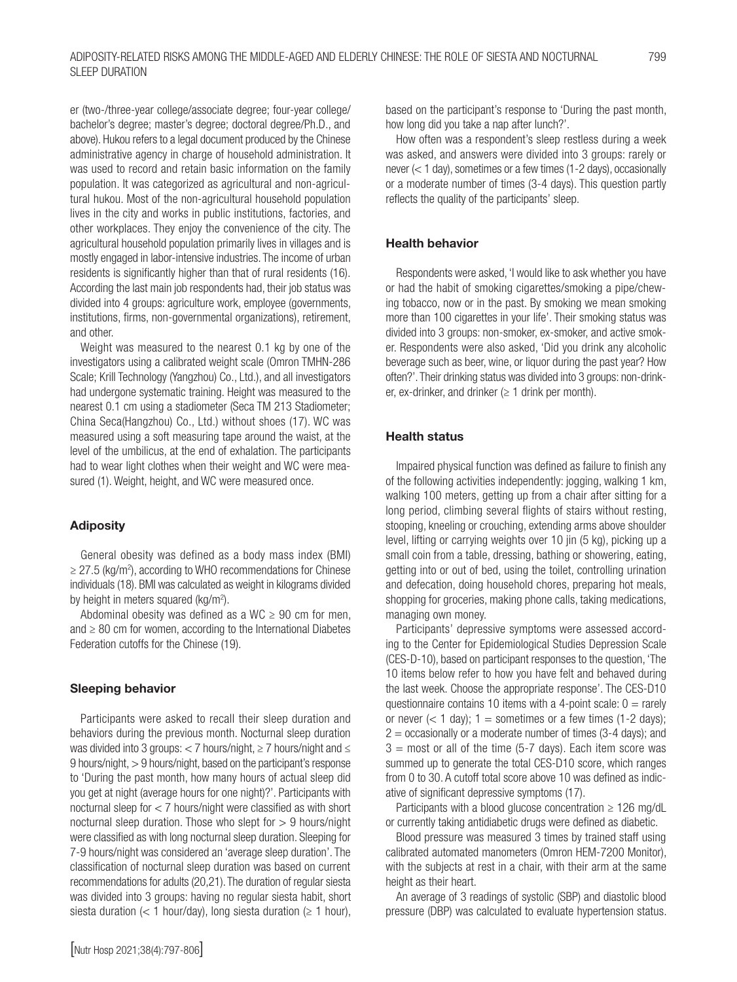er (two-/three-year college/associate degree; four-year college/ bachelor's degree; master's degree; doctoral degree/Ph.D., and above). Hukou refers to a legal document produced by the Chinese administrative agency in charge of household administration. It was used to record and retain basic information on the family population. It was categorized as agricultural and non-agricultural hukou. Most of the non-agricultural household population lives in the city and works in public institutions, factories, and other workplaces. They enjoy the convenience of the city. The agricultural household population primarily lives in villages and is mostly engaged in labor-intensive industries. The income of urban residents is significantly higher than that of rural residents (16). According the last main job respondents had, their job status was divided into 4 groups: agriculture work, employee (governments, institutions, firms, non-governmental organizations), retirement, and other.

Weight was measured to the nearest 0.1 kg by one of the investigators using a calibrated weight scale (Omron TMHN-286 Scale; Krill Technology (Yangzhou) Co., Ltd.), and all investigators had undergone systematic training. Height was measured to the nearest 0.1 cm using a stadiometer (Seca TM 213 Stadiometer; China Seca(Hangzhou) Co., Ltd.) without shoes (17). WC was measured using a soft measuring tape around the waist, at the level of the umbilicus, at the end of exhalation. The participants had to wear light clothes when their weight and WC were measured (1). Weight, height, and WC were measured once.

# Adiposity

General obesity was defined as a body mass index (BMI) ≥ 27.5 (kg/m<sup>2</sup>), according to WHO recommendations for Chinese individuals (18). BMI was calculated as weight in kilograms divided by height in meters squared (kg/m<sup>2</sup>).

Abdominal obesity was defined as a WC  $\geq$  90 cm for men, and ≥ 80 cm for women, according to the International Diabetes Federation cutoffs for the Chinese (19).

# Sleeping behavior

Participants were asked to recall their sleep duration and behaviors during the previous month. Nocturnal sleep duration was divided into 3 groups: < 7 hours/night, ≥ 7 hours/night and ≤ 9 hours/night, > 9 hours/night, based on the participant's response to 'During the past month, how many hours of actual sleep did you get at night (average hours for one night)?'. Participants with nocturnal sleep for < 7 hours/night were classified as with short nocturnal sleep duration. Those who slept for  $> 9$  hours/night were classified as with long nocturnal sleep duration. Sleeping for 7-9 hours/night was considered an 'average sleep duration'. The classification of nocturnal sleep duration was based on current recommendations for adults (20,21). The duration of regular siesta was divided into 3 groups: having no regular siesta habit, short siesta duration (< 1 hour/day), long siesta duration ( $\geq$  1 hour), based on the participant's response to 'During the past month, how long did you take a nap after lunch?'.

How often was a respondent's sleep restless during a week was asked, and answers were divided into 3 groups: rarely or never (< 1 day), sometimes or a few times (1-2 days), occasionally or a moderate number of times (3-4 days). This question partly reflects the quality of the participants' sleep.

# Health behavior

Respondents were asked, 'I would like to ask whether you have or had the habit of smoking cigarettes/smoking a pipe/chewing tobacco, now or in the past. By smoking we mean smoking more than 100 cigarettes in your life'. Their smoking status was divided into 3 groups: non-smoker, ex-smoker, and active smoker. Respondents were also asked, 'Did you drink any alcoholic beverage such as beer, wine, or liquor during the past year? How often?'. Their drinking status was divided into 3 groups: non-drinker, ex-drinker, and drinker ( $\geq 1$  drink per month).

#### Health status

Impaired physical function was defined as failure to finish any of the following activities independently: jogging, walking 1 km, walking 100 meters, getting up from a chair after sitting for a long period, climbing several flights of stairs without resting, stooping, kneeling or crouching, extending arms above shoulder level, lifting or carrying weights over 10 jin (5 kg), picking up a small coin from a table, dressing, bathing or showering, eating, getting into or out of bed, using the toilet, controlling urination and defecation, doing household chores, preparing hot meals, shopping for groceries, making phone calls, taking medications, managing own money.

Participants' depressive symptoms were assessed according to the Center for Epidemiological Studies Depression Scale (CES-D-10), based on participant responses to the question, 'The 10 items below refer to how you have felt and behaved during the last week. Choose the appropriate response'. The CES-D10 questionnaire contains 10 items with a 4-point scale:  $0 =$  rarely or never  $(< 1 \text{ day})$ ;  $1 =$  sometimes or a few times (1-2 days);  $2 =$  occasionally or a moderate number of times (3-4 days); and  $3 =$  most or all of the time (5-7 days). Each item score was summed up to generate the total CES-D10 score, which ranges from 0 to 30. A cutoff total score above 10 was defined as indicative of significant depressive symptoms (17).

Participants with a blood glucose concentration  $\geq 126$  mg/dL or currently taking antidiabetic drugs were defined as diabetic.

Blood pressure was measured 3 times by trained staff using calibrated automated manometers (Omron HEM-7200 Monitor), with the subjects at rest in a chair, with their arm at the same height as their heart.

An average of 3 readings of systolic (SBP) and diastolic blood pressure (DBP) was calculated to evaluate hypertension status.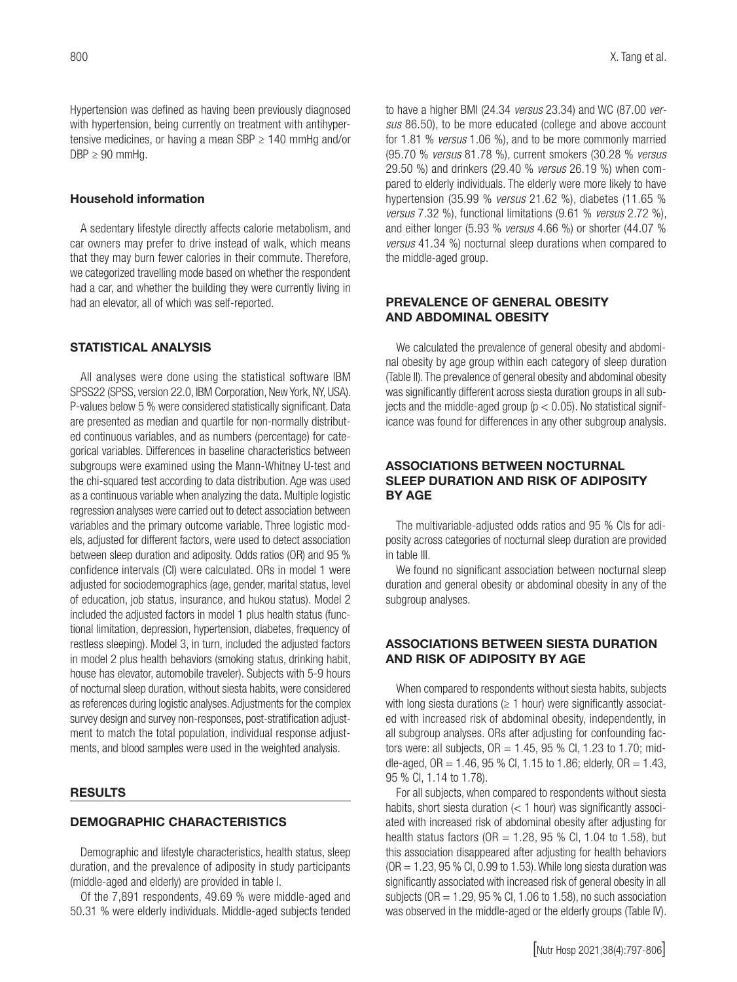Hypertension was defined as having been previously diagnosed with hypertension, being currently on treatment with antihypertensive medicines, or having a mean SBP  $\geq$  140 mmHg and/or  $DBP \geq 90$  mmHq.

#### Household information

A sedentary lifestyle directly affects calorie metabolism, and car owners may prefer to drive instead of walk, which means that they may burn fewer calories in their commute. Therefore, we categorized travelling mode based on whether the respondent had a car, and whether the building they were currently living in had an elevator, all of which was self-reported.

# STATISTICAL ANALYSIS

All analyses were done using the statistical software IBM SPSS22 (SPSS, version 22.0, IBM Corporation, New York, NY, USA). P-values below 5 % were considered statistically significant. Data are presented as median and quartile for non-normally distributed continuous variables, and as numbers (percentage) for categorical variables. Differences in baseline characteristics between subgroups were examined using the Mann-Whitney U-test and the chi-squared test according to data distribution. Age was used as a continuous variable when analyzing the data. Multiple logistic regression analyses were carried out to detect association between variables and the primary outcome variable. Three logistic models, adjusted for different factors, were used to detect association between sleep duration and adiposity. Odds ratios (OR) and 95 % confidence intervals (CI) were calculated. ORs in model 1 were adjusted for sociodemographics (age, gender, marital status, level of education, job status, insurance, and hukou status). Model 2 included the adjusted factors in model 1 plus health status (functional limitation, depression, hypertension, diabetes, frequency of restless sleeping). Model 3, in turn, included the adjusted factors in model 2 plus health behaviors (smoking status, drinking habit, house has elevator, automobile traveler). Subjects with 5-9 hours of nocturnal sleep duration, without siesta habits, were considered as references during logistic analyses. Adjustments for the complex survey design and survey non-responses, post-stratification adjustment to match the total population, individual response adjustments, and blood samples were used in the weighted analysis.

#### **RESULTS**

#### DEMOGRAPHIC CHARACTERISTICS

Demographic and lifestyle characteristics, health status, sleep duration, and the prevalence of adiposity in study participants (middle-aged and elderly) are provided in table I.

Of the 7,891 respondents, 49.69 % were middle-aged and 50.31 % were elderly individuals. Middle-aged subjects tended to have a higher BMI (24.34 *versus* 23.34) and WC (87.00 *versus* 86.50), to be more educated (college and above account for 1.81 % *versus* 1.06 %), and to be more commonly married (95.70 % *versus* 81.78 %), current smokers (30.28 % *versus* 29.50 %) and drinkers (29.40 % *versus* 26.19 %) when compared to elderly individuals. The elderly were more likely to have hypertension (35.99 % *versus* 21.62 %), diabetes (11.65 % *versus* 7.32 %), functional limitations (9.61 % *versus* 2.72 %), and either longer (5.93 % *versus* 4.66 %) or shorter (44.07 % *versus* 41.34 %) nocturnal sleep durations when compared to the middle-aged group.

# PREVALENCE OF GENERAL OBESITY AND ABDOMINAL OBESITY

We calculated the prevalence of general obesity and abdominal obesity by age group within each category of sleep duration (Table II). The prevalence of general obesity and abdominal obesity was significantly different across siesta duration groups in all subjects and the middle-aged group ( $p < 0.05$ ). No statistical significance was found for differences in any other subgroup analysis.

# ASSOCIATIONS BETWEEN NOCTURNAL SLEEP DURATION AND RISK OF ADIPOSITY BY AGE

The multivariable-adjusted odds ratios and 95 % CIs for adiposity across categories of nocturnal sleep duration are provided in table III.

We found no significant association between nocturnal sleep duration and general obesity or abdominal obesity in any of the subgroup analyses.

# ASSOCIATIONS BETWEEN SIESTA DURATION AND RISK OF ADIPOSITY BY AGE

When compared to respondents without siesta habits, subjects with long siesta durations ( $\geq$  1 hour) were significantly associated with increased risk of abdominal obesity, independently, in all subgroup analyses. ORs after adjusting for confounding factors were: all subjects,  $OR = 1.45$ , 95 % Cl, 1.23 to 1.70; middle-aged,  $OR = 1.46$ , 95 % Cl, 1.15 to 1.86; elderly,  $OR = 1.43$ , 95 % CI, 1.14 to 1.78).

For all subjects, when compared to respondents without siesta habits, short siesta duration  $(< 1$  hour) was significantly associated with increased risk of abdominal obesity after adjusting for health status factors ( $OR = 1.28$ , 95 % Cl, 1.04 to 1.58), but this association disappeared after adjusting for health behaviors  $(OR = 1.23, 95\% \text{ CI}, 0.99 \text{ to } 1.53)$ . While long siesta duration was significantly associated with increased risk of general obesity in all subjects ( $OR = 1.29$ ,  $95 % CI$ ,  $1.06$  to  $1.58$ ), no such association was observed in the middle-aged or the elderly groups (Table IV).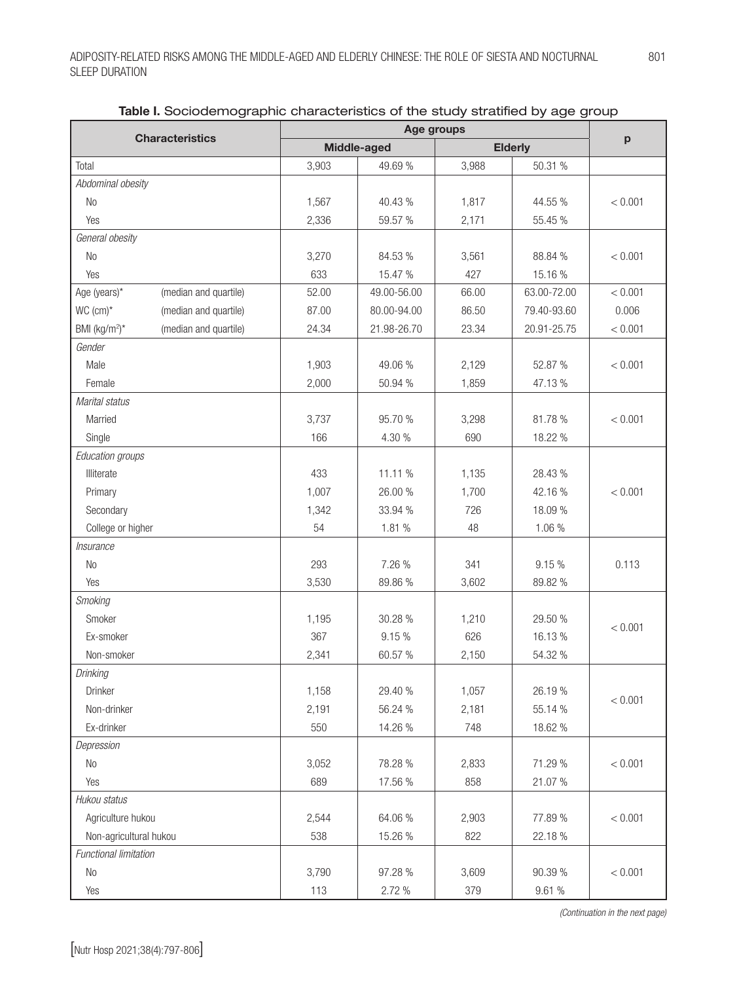| <b>Characteristics</b>                             | Middle-aged |             | Age groups<br><b>Elderly</b> |             | p       |
|----------------------------------------------------|-------------|-------------|------------------------------|-------------|---------|
| Total                                              | 3,903       | 49.69%      | 3,988                        | 50.31 %     |         |
| Abdominal obesity                                  |             |             |                              |             |         |
| <b>No</b>                                          | 1,567       | 40.43 %     | 1,817                        | 44.55 %     | < 0.001 |
| Yes                                                | 2,336       | 59.57 %     | 2,171                        | 55.45 %     |         |
| General obesity                                    |             |             |                              |             |         |
| N <sub>0</sub>                                     | 3,270       | 84.53 %     | 3,561                        | 88.84 %     | < 0.001 |
| Yes                                                | 633         | 15.47 %     | 427                          | 15.16 %     |         |
| Age (years)*<br>(median and quartile)              | 52.00       | 49.00-56.00 | 66.00                        | 63.00-72.00 | < 0.001 |
| WC (cm)*<br>(median and quartile)                  | 87.00       | 80.00-94.00 | 86.50                        | 79.40-93.60 | 0.006   |
| BMI (kg/m <sup>2</sup> )*<br>(median and quartile) | 24.34       | 21.98-26.70 | 23.34                        | 20.91-25.75 | < 0.001 |
| Gender                                             |             |             |                              |             |         |
| Male                                               | 1,903       | 49.06 %     | 2,129                        | 52.87 %     | < 0.001 |
| Female                                             | 2,000       | 50.94 %     | 1,859                        | 47.13 %     |         |
| Marital status                                     |             |             |                              |             |         |
| Married                                            | 3,737       | 95.70 %     | 3,298                        | 81.78%      | < 0.001 |
| Single                                             | 166         | 4.30 %      | 690                          | 18.22 %     |         |
| Education groups                                   |             |             |                              |             |         |
| Illiterate                                         | 433         | 11.11 %     | 1,135                        | 28.43 %     |         |
| Primary                                            | 1,007       | 26.00 %     | 1,700                        | 42.16%      | < 0.001 |
| Secondary                                          | 1,342       | 33.94 %     | 726                          | 18.09 %     |         |
| College or higher                                  | 54          | 1.81 %      | 48                           | 1.06 %      |         |
| Insurance                                          |             |             |                              |             |         |
| N <sub>0</sub>                                     | 293         | 7.26 %      | 341                          | 9.15%       | 0.113   |
| Yes                                                | 3,530       | 89.86 %     | 3,602                        | 89.82 %     |         |
| Smoking                                            |             |             |                              |             |         |
| Smoker                                             | 1,195       | 30.28 %     | 1,210                        | 29.50 %     | < 0.001 |
| Ex-smoker                                          | 367         | 9.15%       | 626                          | 16.13 %     |         |
| Non-smoker                                         | 2,341       | 60.57 %     | 2,150                        | 54.32 %     |         |
| Drinking                                           |             |             |                              |             |         |
| Drinker                                            | 1,158       | 29.40 %     | 1,057                        | 26.19 %     | < 0.001 |
| Non-drinker                                        | 2,191       | 56.24 %     | 2,181                        | 55.14 %     |         |
| Ex-drinker                                         | 550         | 14.26 %     | 748                          | 18.62 %     |         |
| Depression                                         |             |             |                              |             |         |
| No                                                 | 3,052       | 78.28 %     | 2,833                        | 71.29 %     | < 0.001 |
| Yes                                                | 689         | 17.56 %     | 858                          | 21.07%      |         |
| Hukou status                                       |             |             |                              |             |         |
| Agriculture hukou                                  | 2,544       | 64.06 %     | 2,903                        | 77.89 %     | < 0.001 |
| Non-agricultural hukou                             | 538         | 15.26 %     | 822                          | 22.18 %     |         |
| Functional limitation                              |             |             |                              |             |         |
| <b>No</b>                                          | 3,790       | 97.28 %     | 3,609                        | 90.39 %     | < 0.001 |
| Yes                                                | 113         | 2.72 %      | 379                          | 9.61 %      |         |

Table I. Sociodemographic characteristics of the study stratified by age group

*(Continuation in the next page)*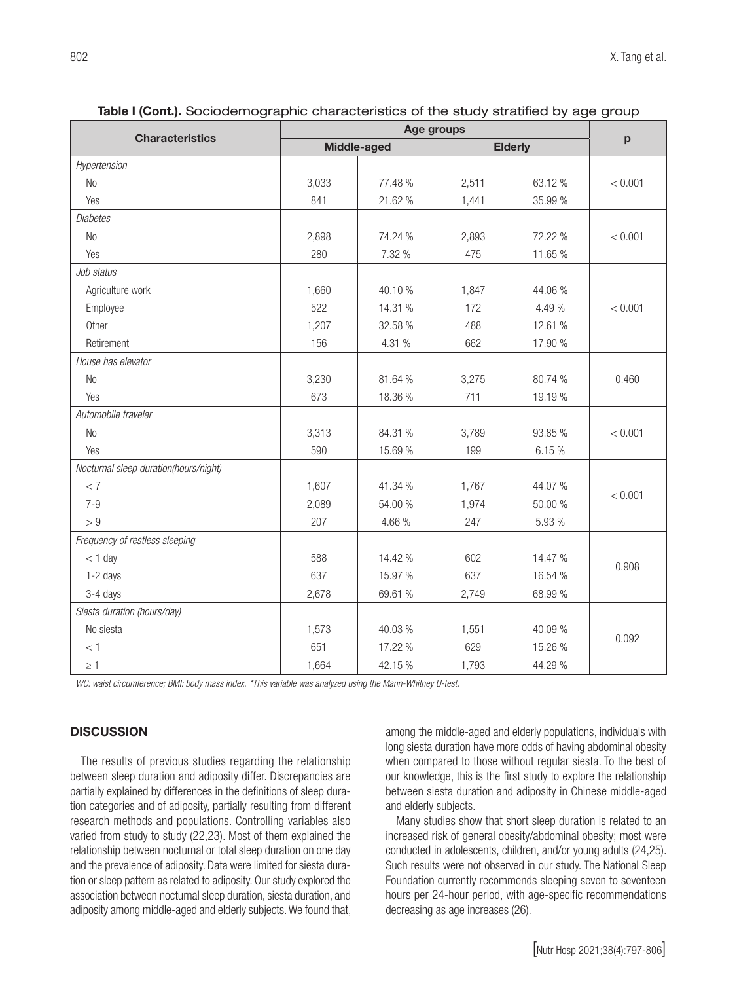| <b>Characteristics</b>                |       | Middle-aged | <b>Elderly</b> |         | p       |
|---------------------------------------|-------|-------------|----------------|---------|---------|
| Hypertension                          |       |             |                |         |         |
| N <sub>0</sub>                        | 3,033 | 77.48 %     | 2,511          | 63.12 % | < 0.001 |
| Yes                                   | 841   | 21.62 %     | 1,441          | 35.99 % |         |
| <b>Diabetes</b>                       |       |             |                |         |         |
| N <sub>0</sub>                        | 2,898 | 74.24 %     | 2,893          | 72.22 % | < 0.001 |
| Yes                                   | 280   | 7.32 %      | 475            | 11.65 % |         |
| Job status                            |       |             |                |         |         |
| Agriculture work                      | 1,660 | 40.10 %     | 1,847          | 44.06 % |         |
| Employee                              | 522   | 14.31 %     | 172            | 4.49 %  | < 0.001 |
| Other                                 | 1,207 | 32.58 %     | 488            | 12.61 % |         |
| Retirement                            | 156   | 4.31 %      | 662            | 17.90 % |         |
| House has elevator                    |       |             |                |         |         |
| N <sub>0</sub>                        | 3,230 | 81.64 %     | 3,275          | 80.74 % | 0.460   |
| Yes                                   | 673   | 18.36 %     | 711            | 19.19 % |         |
| Automobile traveler                   |       |             |                |         |         |
| No                                    | 3,313 | 84.31 %     | 3,789          | 93.85 % | < 0.001 |
| Yes                                   | 590   | 15.69 %     | 199            | 6.15%   |         |
| Nocturnal sleep duration(hours/night) |       |             |                |         |         |
| < 7                                   | 1,607 | 41.34 %     | 1,767          | 44.07 % | < 0.001 |
| $7 - 9$                               | 2,089 | 54.00 %     | 1,974          | 50.00 % |         |
| > 9                                   | 207   | 4.66 %      | 247            | 5.93 %  |         |
| Frequency of restless sleeping        |       |             |                |         |         |
| $<$ 1 day                             | 588   | 14.42 %     | 602            | 14.47 % | 0.908   |
| 1-2 days                              | 637   | 15.97 %     | 637            | 16.54 % |         |
| 3-4 days                              | 2,678 | 69.61 %     | 2,749          | 68.99 % |         |
| Siesta duration (hours/day)           |       |             |                |         |         |
| No siesta                             | 1,573 | 40.03 %     | 1,551          | 40.09 % | 0.092   |
| < 1                                   | 651   | 17.22 %     | 629            | 15.26 % |         |
| $\geq 1$                              | 1,664 | 42.15 %     | 1,793          | 44.29 % |         |

| Table I (Cont.). Sociodemographic characteristics of the study stratified by age group |  |  |
|----------------------------------------------------------------------------------------|--|--|
|                                                                                        |  |  |

*WC: waist circumference; BMI: body mass index. \*This variable was analyzed using the Mann-Whitney U-test.*

# **DISCUSSION**

The results of previous studies regarding the relationship between sleep duration and adiposity differ. Discrepancies are partially explained by differences in the definitions of sleep duration categories and of adiposity, partially resulting from different research methods and populations. Controlling variables also varied from study to study (22,23). Most of them explained the relationship between nocturnal or total sleep duration on one day and the prevalence of adiposity. Data were limited for siesta duration or sleep pattern as related to adiposity. Our study explored the association between nocturnal sleep duration, siesta duration, and adiposity among middle-aged and elderly subjects. We found that, among the middle-aged and elderly populations, individuals with long siesta duration have more odds of having abdominal obesity when compared to those without regular siesta. To the best of our knowledge, this is the first study to explore the relationship between siesta duration and adiposity in Chinese middle-aged and elderly subjects.

Many studies show that short sleep duration is related to an increased risk of general obesity/abdominal obesity; most were conducted in adolescents, children, and/or young adults (24,25). Such results were not observed in our study. The National Sleep Foundation currently recommends sleeping seven to seventeen hours per 24-hour period, with age-specific recommendations decreasing as age increases (26).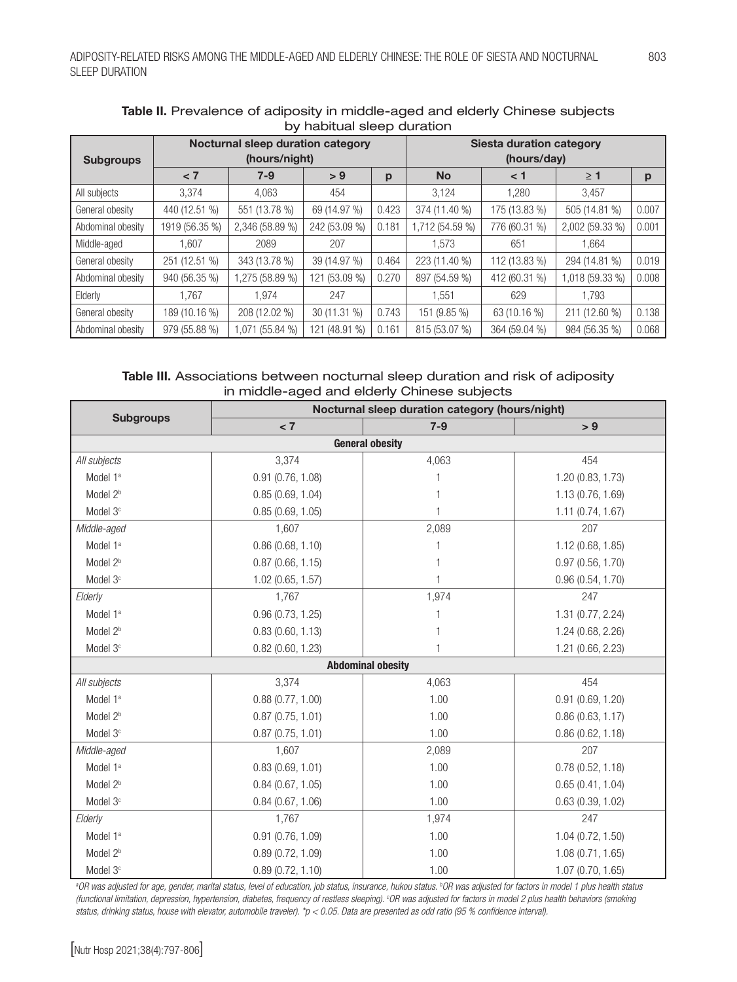| $5, 1$ $1, 2, 3$ $1, 3, 4$ $1, 5, 6$ $1, 7, 8$ |                                                    |                 |               |       |                                                |               |                 |       |
|------------------------------------------------|----------------------------------------------------|-----------------|---------------|-------|------------------------------------------------|---------------|-----------------|-------|
| <b>Subgroups</b>                               | Nocturnal sleep duration category<br>(hours/night) |                 |               |       | <b>Siesta duration category</b><br>(hours/day) |               |                 |       |
|                                                | < 7                                                | $7-9$           | > 9           | p     | <b>No</b>                                      | < 1           | $\geq 1$        | p     |
| All subjects                                   | 3,374                                              | 4,063           | 454           |       | 3,124                                          | 1,280         | 3,457           |       |
| General obesity                                | 440 (12.51 %)                                      | 551 (13.78 %)   | 69 (14.97 %)  | 0.423 | 374 (11.40 %)                                  | 175 (13.83 %) | 505 (14.81 %)   | 0.007 |
| Abdominal obesity                              | 1919 (56.35 %)                                     | 2,346 (58.89 %) | 242 (53.09 %) | 0.181 | 1,712 (54.59 %)                                | 776 (60.31 %) | 2,002 (59.33 %) | 0.001 |
| Middle-aged                                    | 1.607                                              | 2089            | 207           |       | 1,573                                          | 651           | 1.664           |       |
| General obesity                                | 251 (12.51 %)                                      | 343 (13.78 %)   | 39 (14.97 %)  | 0.464 | 223 (11.40 %)                                  | 112 (13.83 %) | 294 (14.81 %)   | 0.019 |
| Abdominal obesity                              | 940 (56.35 %)                                      | 1,275 (58.89 %) | 121 (53.09 %) | 0.270 | 897 (54.59 %)                                  | 412 (60.31 %) | 1,018 (59.33 %) | 0.008 |
| Elderly                                        | 1.767                                              | 1.974           | 247           |       | 1,551                                          | 629           | 1.793           |       |
| General obesity                                | 189 (10.16 %)                                      | 208 (12.02 %)   | 30 (11.31 %)  | 0.743 | 151 (9.85 %)                                   | 63 (10.16 %)  | 211 (12.60 %)   | 0.138 |
| Abdominal obesity                              | 979 (55.88 %)                                      | 071(55.84%      | 121 (48.91 %) | 0.161 | 815 (53.07 %)                                  | 364 (59.04 %) | 984 (56.35 %)   | 0.068 |

# Table II. Prevalence of adiposity in middle-aged and elderly Chinese subjects by habitual sleep duration

# Table III. Associations between nocturnal sleep duration and risk of adiposity in middle-aged and elderly Chinese subjects

| <b>Subgroups</b>       | Nocturnal sleep duration category (hours/night) |                          |                   |  |  |  |
|------------------------|-------------------------------------------------|--------------------------|-------------------|--|--|--|
|                        | < 7                                             | $7-9$                    | > 9               |  |  |  |
| <b>General obesity</b> |                                                 |                          |                   |  |  |  |
| All subjects           | 3,374                                           | 4,063                    | 454               |  |  |  |
| Model 1 <sup>a</sup>   | $0.91$ (0.76, 1.08)                             |                          | 1.20 (0.83, 1.73) |  |  |  |
| Model 2 <sup>b</sup>   | 0.85(0.69, 1.04)                                |                          | 1.13 (0.76, 1.69) |  |  |  |
| Model 3 <sup>c</sup>   | 0.85(0.69, 1.05)                                |                          | 1.11(0.74, 1.67)  |  |  |  |
| Middle-aged            | 1,607                                           | 2,089                    | 207               |  |  |  |
| Model 1ª               | 0.86(0.68, 1.10)                                |                          | 1.12 (0.68, 1.85) |  |  |  |
| Model 2 <sup>b</sup>   | $0.87$ (0.66, 1.15)                             |                          | 0.97(0.56, 1.70)  |  |  |  |
| Model 3 <sup>c</sup>   | 1.02 (0.65, 1.57)                               | 1                        | 0.96(0.54, 1.70)  |  |  |  |
| Elderly                | 1,767                                           | 1,974                    | 247               |  |  |  |
| Model 1 <sup>a</sup>   | 0.96(0.73, 1.25)                                |                          | 1.31 (0.77, 2.24) |  |  |  |
| Model 2 <sup>b</sup>   | 0.83(0.60, 1.13)                                | 1                        | 1.24 (0.68, 2.26) |  |  |  |
| Model 3 <sup>c</sup>   | $0.82$ (0.60, 1.23)                             | 1                        | 1.21 (0.66, 2.23) |  |  |  |
|                        |                                                 | <b>Abdominal obesity</b> |                   |  |  |  |
| All subjects           | 3,374                                           | 4,063                    | 454               |  |  |  |
| Model 1ª               | 0.88(0.77, 1.00)                                | 1.00                     | 0.91(0.69, 1.20)  |  |  |  |
| Model 2 <sup>b</sup>   | 0.87(0.75, 1.01)                                | 1.00                     | 0.86(0.63, 1.17)  |  |  |  |
| Model 3 <sup>c</sup>   | 0.87(0.75, 1.01)                                | 1.00                     | 0.86(0.62, 1.18)  |  |  |  |
| Middle-aged            | 1,607                                           | 2,089                    | 207               |  |  |  |
| Model 1 <sup>a</sup>   | 0.83(0.69, 1.01)                                | 1.00                     | 0.78(0.52, 1.18)  |  |  |  |
| Model 2 <sup>b</sup>   | 0.84(0.67, 1.05)                                | 1.00                     | 0.65(0.41, 1.04)  |  |  |  |
| Model 3 <sup>c</sup>   | 0.84(0.67, 1.06)                                | 1.00                     | 0.63(0.39, 1.02)  |  |  |  |
| Elderly                | 1.767                                           | 1,974                    | 247               |  |  |  |
| Model 1ª               | $0.91$ (0.76, 1.09)                             | 1.00                     | 1.04 (0.72, 1.50) |  |  |  |
| Model 2 <sup>b</sup>   | 0.89(0.72, 1.09)                                | 1.00                     | 1.08(0.71, 1.65)  |  |  |  |
| Model 3 <sup>c</sup>   | 0.89(0.72, 1.10)                                | 1.00                     | 1.07 (0.70, 1.65) |  |  |  |

*a OR was adjusted for age, gender, marital status, level of education, job status, insurance, hukou status. b OR was adjusted for factors in model 1 plus health status (functional limitation, depression, hypertension, diabetes, frequency of restless sleeping). c OR was adjusted for factors in model 2 plus health behaviors (smoking status, drinking status, house with elevator, automobile traveler). \*p < 0.05. Data are presented as odd ratio (95 % confidence interval).*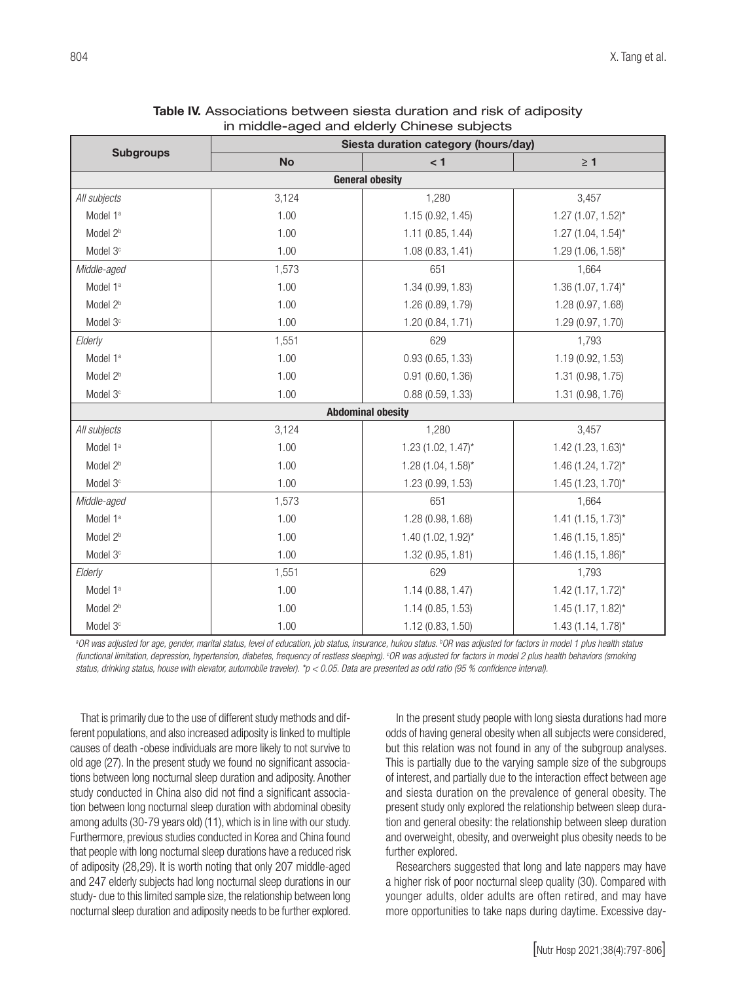|                        | Siesta duration category (hours/day) |                          |                         |  |  |  |
|------------------------|--------------------------------------|--------------------------|-------------------------|--|--|--|
| <b>Subgroups</b>       | <b>No</b>                            | < 1                      |                         |  |  |  |
| <b>General obesity</b> |                                      |                          |                         |  |  |  |
| All subjects           | 3,124                                | 1,280                    | 3,457                   |  |  |  |
| Model 1ª               | 1.00                                 | 1.15 (0.92, 1.45)        | $1.27$ (1.07, $1.52$ )* |  |  |  |
| Model 2 <sup>b</sup>   | 1.00                                 | $1.11$ (0.85, 1.44)      | $1.27$ (1.04, 1.54)*    |  |  |  |
| Model 3 <sup>c</sup>   | 1.00                                 | 1.08(0.83, 1.41)         | $1.29$ (1.06, $1.58$ )* |  |  |  |
| Middle-aged            | 1,573                                | 651                      | 1,664                   |  |  |  |
| Model 1ª               | 1.00                                 | 1.34 (0.99, 1.83)        | $1.36(1.07, 1.74)^{*}$  |  |  |  |
| Model 2 <sup>b</sup>   | 1.00                                 | 1.26 (0.89, 1.79)        | 1.28 (0.97, 1.68)       |  |  |  |
| Model 3 <sup>c</sup>   | 1.00                                 | 1.20 (0.84, 1.71)        | 1.29 (0.97, 1.70)       |  |  |  |
| Elderly                | 1,551                                | 629                      | 1,793                   |  |  |  |
| Model 1ª               | 1.00                                 | 0.93(0.65, 1.33)         | 1.19 (0.92, 1.53)       |  |  |  |
| Model 2 <sup>b</sup>   | 1.00                                 | $0.91$ $(0.60, 1.36)$    | 1.31 (0.98, 1.75)       |  |  |  |
| Model 3 <sup>c</sup>   | 1.00                                 | 0.88(0.59, 1.33)         | 1.31 (0.98, 1.76)       |  |  |  |
|                        |                                      | <b>Abdominal obesity</b> |                         |  |  |  |
| All subjects           | 3,124                                | 1,280                    | 3,457                   |  |  |  |
| Model 1ª               | 1.00                                 | $1.23$ (1.02, 1.47)*     | $1.42$ (1.23, 1.63)*    |  |  |  |
| Model 2 <sup>b</sup>   | 1.00                                 | $1.28$ (1.04, 1.58)*     | $1.46(1.24, 1.72)^{*}$  |  |  |  |
| Model 3 <sup>c</sup>   | 1.00                                 | 1.23 (0.99, 1.53)        | $1.45$ (1.23, 1.70)*    |  |  |  |
| Middle-aged            | 1,573                                | 651                      | 1,664                   |  |  |  |
| Model 1ª               | 1.00                                 | 1.28 (0.98, 1.68)        | $1.41$ (1.15, 1.73)*    |  |  |  |
| Model 2 <sup>b</sup>   | 1.00                                 | $1.40$ (1.02, 1.92)*     | $1.46$ (1.15, 1.85)*    |  |  |  |
| Model 3 <sup>c</sup>   | 1.00                                 | 1.32 (0.95, 1.81)        | $1.46$ (1.15, 1.86)*    |  |  |  |
| Elderly                | 1,551                                | 629                      | 1,793                   |  |  |  |
| Model 1ª               | 1.00                                 | 1.14(0.88, 1.47)         | $1.42$ (1.17, 1.72)*    |  |  |  |
| Model 2 <sup>b</sup>   | 1.00                                 | 1.14 (0.85, 1.53)        | $1.45(1.17, 1.82)^{*}$  |  |  |  |
| Model 3 <sup>c</sup>   | 1.00                                 | 1.12 (0.83, 1.50)        | $1.43(1.14, 1.78)^{*}$  |  |  |  |

Table IV. Associations between siesta duration and risk of adiposity in middle-aged and elderly Chinese subjects

<sup>a</sup>OR was adjusted for age, gender, marital status, level of education, job status, insurance, hukou status. <sup>b</sup>OR was adjusted for factors in model 1 plus health status *(functional limitation, depression, hypertension, diabetes, frequency of restless sleeping). c OR was adjusted for factors in model 2 plus health behaviors (smoking status, drinking status, house with elevator, automobile traveler). \*p < 0.05. Data are presented as odd ratio (95 % confidence interval).*

That is primarily due to the use of different study methods and different populations, and also increased adiposity is linked to multiple causes of death -obese individuals are more likely to not survive to old age (27). In the present study we found no significant associations between long nocturnal sleep duration and adiposity. Another study conducted in China also did not find a significant association between long nocturnal sleep duration with abdominal obesity among adults (30-79 years old) (11), which is in line with our study. Furthermore, previous studies conducted in Korea and China found that people with long nocturnal sleep durations have a reduced risk of adiposity (28,29). It is worth noting that only 207 middle-aged and 247 elderly subjects had long nocturnal sleep durations in our study- due to this limited sample size, the relationship between long nocturnal sleep duration and adiposity needs to be further explored.

In the present study people with long siesta durations had more odds of having general obesity when all subjects were considered, but this relation was not found in any of the subgroup analyses. This is partially due to the varying sample size of the subgroups of interest, and partially due to the interaction effect between age and siesta duration on the prevalence of general obesity. The present study only explored the relationship between sleep duration and general obesity: the relationship between sleep duration and overweight, obesity, and overweight plus obesity needs to be further explored.

Researchers suggested that long and late nappers may have a higher risk of poor nocturnal sleep quality (30). Compared with younger adults, older adults are often retired, and may have more opportunities to take naps during daytime. Excessive day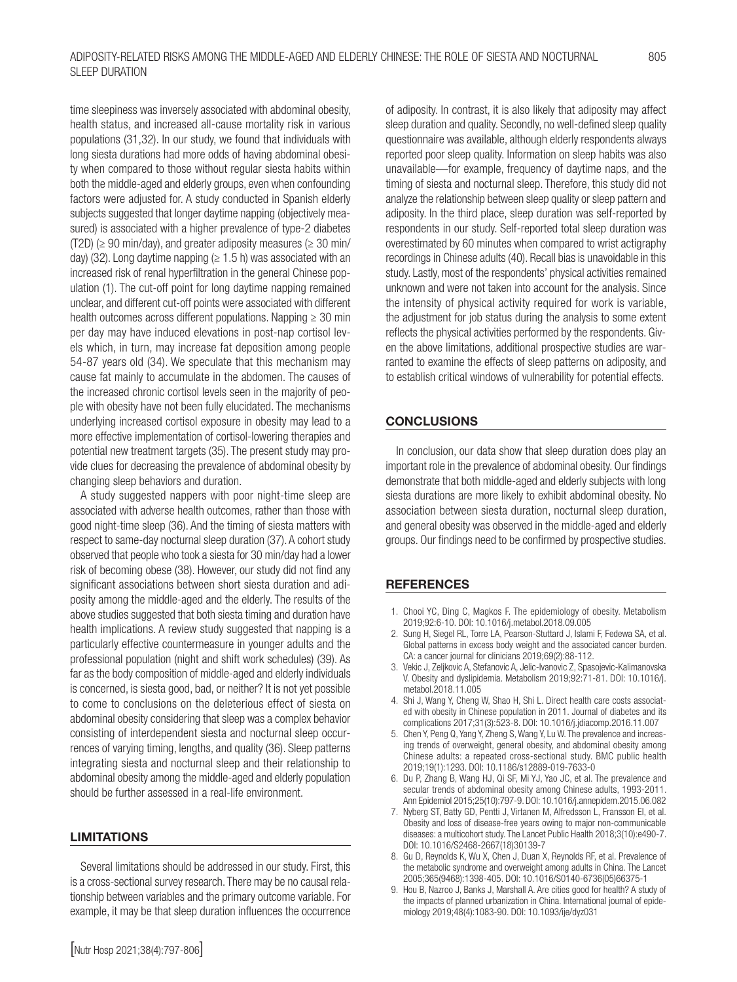time sleepiness was inversely associated with abdominal obesity, health status, and increased all-cause mortality risk in various populations (31,32). In our study, we found that individuals with long siesta durations had more odds of having abdominal obesity when compared to those without regular siesta habits within both the middle-aged and elderly groups, even when confounding factors were adjusted for. A study conducted in Spanish elderly subjects suggested that longer daytime napping (objectively measured) is associated with a higher prevalence of type-2 diabetes (T2D) ( $\geq$  90 min/day), and greater adiposity measures ( $\geq$  30 min/ day) (32). Long daytime napping ( $\geq 1.5$  h) was associated with an increased risk of renal hyperfiltration in the general Chinese population (1). The cut-off point for long daytime napping remained unclear, and different cut-off points were associated with different health outcomes across different populations. Napping ≥ 30 min per day may have induced elevations in post-nap cortisol levels which, in turn, may increase fat deposition among people 54-87 years old (34). We speculate that this mechanism may cause fat mainly to accumulate in the abdomen. The causes of the increased chronic cortisol levels seen in the majority of people with obesity have not been fully elucidated. The mechanisms underlying increased cortisol exposure in obesity may lead to a more effective implementation of cortisol-lowering therapies and potential new treatment targets (35). The present study may provide clues for decreasing the prevalence of abdominal obesity by changing sleep behaviors and duration.

A study suggested nappers with poor night-time sleep are associated with adverse health outcomes, rather than those with good night-time sleep (36). And the timing of siesta matters with respect to same-day nocturnal sleep duration (37). A cohort study observed that people who took a siesta for 30 min/day had a lower risk of becoming obese (38). However, our study did not find any significant associations between short siesta duration and adiposity among the middle-aged and the elderly. The results of the above studies suggested that both siesta timing and duration have health implications. A review study suggested that napping is a particularly effective countermeasure in younger adults and the professional population (night and shift work schedules) (39). As far as the body composition of middle-aged and elderly individuals is concerned, is siesta good, bad, or neither? It is not yet possible to come to conclusions on the deleterious effect of siesta on abdominal obesity considering that sleep was a complex behavior consisting of interdependent siesta and nocturnal sleep occurrences of varying timing, lengths, and quality (36). Sleep patterns integrating siesta and nocturnal sleep and their relationship to abdominal obesity among the middle-aged and elderly population should be further assessed in a real-life environment.

#### LIMITATIONS

Several limitations should be addressed in our study. First, this is a cross-sectional survey research. There may be no causal relationship between variables and the primary outcome variable. For example, it may be that sleep duration influences the occurrence

of adiposity. In contrast, it is also likely that adiposity may affect sleep duration and quality. Secondly, no well-defined sleep quality questionnaire was available, although elderly respondents always reported poor sleep quality. Information on sleep habits was also unavailable—for example, frequency of daytime naps, and the timing of siesta and nocturnal sleep. Therefore, this study did not analyze the relationship between sleep quality or sleep pattern and adiposity. In the third place, sleep duration was self-reported by respondents in our study. Self-reported total sleep duration was overestimated by 60 minutes when compared to wrist actigraphy recordings in Chinese adults (40). Recall bias is unavoidable in this study. Lastly, most of the respondents' physical activities remained unknown and were not taken into account for the analysis. Since the intensity of physical activity required for work is variable, the adjustment for job status during the analysis to some extent reflects the physical activities performed by the respondents. Given the above limitations, additional prospective studies are warranted to examine the effects of sleep patterns on adiposity, and to establish critical windows of vulnerability for potential effects.

# **CONCLUSIONS**

In conclusion, our data show that sleep duration does play an important role in the prevalence of abdominal obesity. Our findings demonstrate that both middle-aged and elderly subjects with long siesta durations are more likely to exhibit abdominal obesity. No association between siesta duration, nocturnal sleep duration, and general obesity was observed in the middle-aged and elderly groups. Our findings need to be confirmed by prospective studies.

# **REFERENCES**

- 1. Chooi YC, Ding C, Magkos F. The epidemiology of obesity. Metabolism 2019;92:6-10. DOI: 10.1016/j.metabol.2018.09.005
- 2. Sung H, Siegel RL, Torre LA, Pearson-Stuttard J, Islami F, Fedewa SA, et al. Global patterns in excess body weight and the associated cancer burden. CA: a cancer journal for clinicians 2019;69(2):88-112.
- 3. Vekic J, Zeljkovic A, Stefanovic A, Jelic-Ivanovic Z, Spasojevic-Kalimanovska V. Obesity and dyslipidemia. Metabolism 2019;92:71-81. DOI: 10.1016/j. metabol.2018.11.005
- 4. Shi J, Wang Y, Cheng W, Shao H, Shi L. Direct health care costs associated with obesity in Chinese population in 2011. Journal of diabetes and its complications 2017;31(3):523-8. DOI: 10.1016/j.jdiacomp.2016.11.007
- 5. Chen Y, Peng Q, Yang Y, Zheng S, Wang Y, Lu W. The prevalence and increasing trends of overweight, general obesity, and abdominal obesity among Chinese adults: a repeated cross-sectional study. BMC public health 2019;19(1):1293. DOI: 10.1186/s12889-019-7633-0
- 6. Du P, Zhang B, Wang HJ, Qi SF, Mi YJ, Yao JC, et al. The prevalence and secular trends of abdominal obesity among Chinese adults, 1993-2011. Ann Epidemiol 2015;25(10):797-9. DOI: 10.1016/j.annepidem.2015.06.082
- 7. Nyberg ST, Batty GD, Pentti J, Virtanen M, Alfredsson L, Fransson EI, et al. Obesity and loss of disease-free years owing to major non-communicable diseases: a multicohort study. The Lancet Public Health 2018;3(10):e490-7. DOI: 10.1016/S2468-2667(18)30139-7
- 8. Gu D, Reynolds K, Wu X, Chen J, Duan X, Reynolds RF, et al. Prevalence of the metabolic syndrome and overweight among adults in China. The Lancet 2005;365(9468):1398-405. DOI: 10.1016/S0140-6736(05)66375-1
- 9. Hou B, Nazroo J, Banks J, Marshall A. Are cities good for health? A study of the impacts of planned urbanization in China. International journal of epidemiology 2019;48(4):1083-90. DOI: 10.1093/ije/dyz031